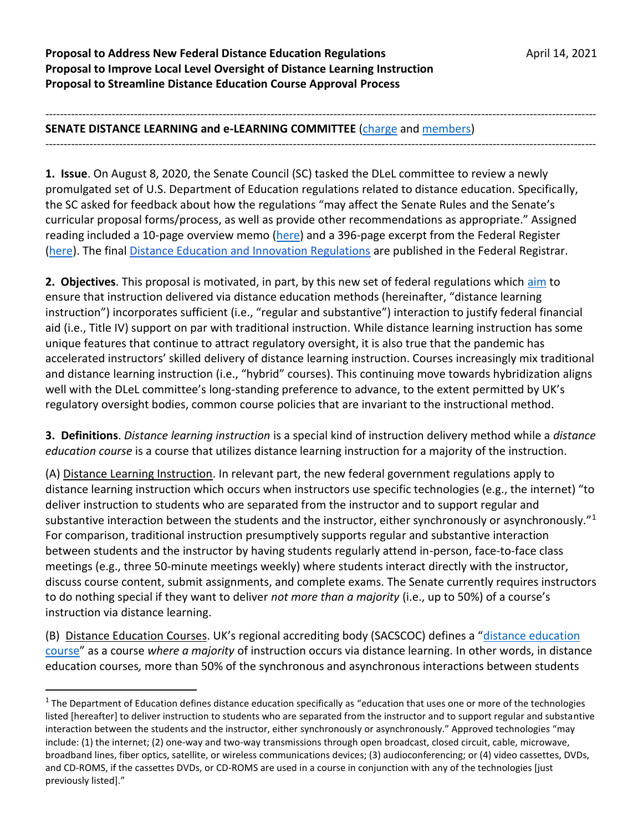**Proposal to Address New Federal Distance Education Regulations Manufacture April 14, 2021 Proposal to Improve Local Level Oversight of Distance Learning Instruction Proposal to Streamline Distance Education Course Approval Process**

## ----------------------------------------------------------------------------------------------------------------------------------------------------- **SENATE DISTANCE LEARNING and e-LEARNING COMMITTEE** [\(charge](https://www.uky.edu/universitysenate/committee/distance-learning-and-e-learning) and [members\)](https://www.uky.edu/universitysenate/committee/distance-learning-and-e-learning)

-----------------------------------------------------------------------------------------------------------------------------------------------------

**1. Issue**. On August 8, 2020, the Senate Council (SC) tasked the DLeL committee to review a newly promulgated set of U.S. Department of Education regulations related to distance education. Specifically, the SC asked for feedback about how the regulations "may affect the Senate Rules and the Senate's curricular proposal forms/process, as well as provide other recommendations as appropriate." Assigned reading included a 10-page overview memo [\(here\)](https://www.uky.edu/universitysenate/sites/www.uky.edu.universitysenate/files/CurricProposals/Cmte/2020-21/WCET%20summary%20and%20explanation.pdf) and a 396-page excerpt from the Federal Register [\(here\)](https://www.uky.edu/universitysenate/sites/www.uky.edu.universitysenate/files/CurricProposals/Cmte/2020-21/distanceandinnovationunofficialreg.pdf). The final [Distance Education and Innovation Regulations](https://www.federalregister.gov/documents/2020/09/02/2020-18636/distance-education-and-innovation) are published in the Federal Registrar.

**2. Objectives**. This proposal is motivated, in part, by this new set of federal regulations which [aim](https://www.ed.gov/news/press-releases/secretary-devos-issues-new-distance-learning-regulations-spur-high-quality-distance-and-competency-based-programs-better-serve-diverse-population-higher-education-students) to ensure that instruction delivered via distance education methods (hereinafter, "distance learning instruction") incorporates sufficient (i.e., "regular and substantive") interaction to justify federal financial aid (i.e., Title IV) support on par with traditional instruction. While distance learning instruction has some unique features that continue to attract regulatory oversight, it is also true that the pandemic has accelerated instructors' skilled delivery of distance learning instruction. Courses increasingly mix traditional and distance learning instruction (i.e., "hybrid" courses). This continuing move towards hybridization aligns well with the DLeL committee's long-standing preference to advance, to the extent permitted by UK's regulatory oversight bodies, common course policies that are invariant to the instructional method.

**3. Definitions**. *Distance learning instruction* is a special kind of instruction delivery method while a *distance education course* is a course that utilizes distance learning instruction for a majority of the instruction.

(A) Distance Learning Instruction. In relevant part, the new federal government regulations apply to distance learning instruction which occurs when instructors use specific technologies (e.g., the internet) "to deliver instruction to students who are separated from the instructor and to support regular and substantive interaction between the students and the instructor, either synchronously or asynchronously."<sup>1</sup> For comparison, traditional instruction presumptively supports regular and substantive interaction between students and the instructor by having students regularly attend in-person, face-to-face class meetings (e.g., three 50-minute meetings weekly) where students interact directly with the instructor, discuss course content, submit assignments, and complete exams. The Senate currently requires instructors to do nothing special if they want to deliver *not more than a majority* (i.e., up to 50%) of a course's instruction via distance learning.

(B) Distance Education Courses. UK's regional accrediting body (SACSCOC) defines a "[distance education](https://sacscoc.org/app/uploads/2019/07/DistanceCorrespondenceEducation.pdf)  [course](https://sacscoc.org/app/uploads/2019/07/DistanceCorrespondenceEducation.pdf)" as a course *where a majority* of instruction occurs via distance learning. In other words, in distance education courses*,* more than 50% of the synchronous and asynchronous interactions between students

l

 $1$  The Department of Education defines distance education specifically as "education that uses one or more of the technologies listed [hereafter] to deliver instruction to students who are separated from the instructor and to support regular and substantive interaction between the students and the instructor, either synchronously or asynchronously." Approved technologies "may include: (1) the internet; (2) one-way and two-way transmissions through open broadcast, closed circuit, cable, microwave, broadband lines, fiber optics, satellite, or wireless communications devices; (3) audioconferencing; or (4) video cassettes, DVDs, and CD-ROMS, if the cassettes DVDs, or CD-ROMS are used in a course in conjunction with any of the technologies [just previously listed]."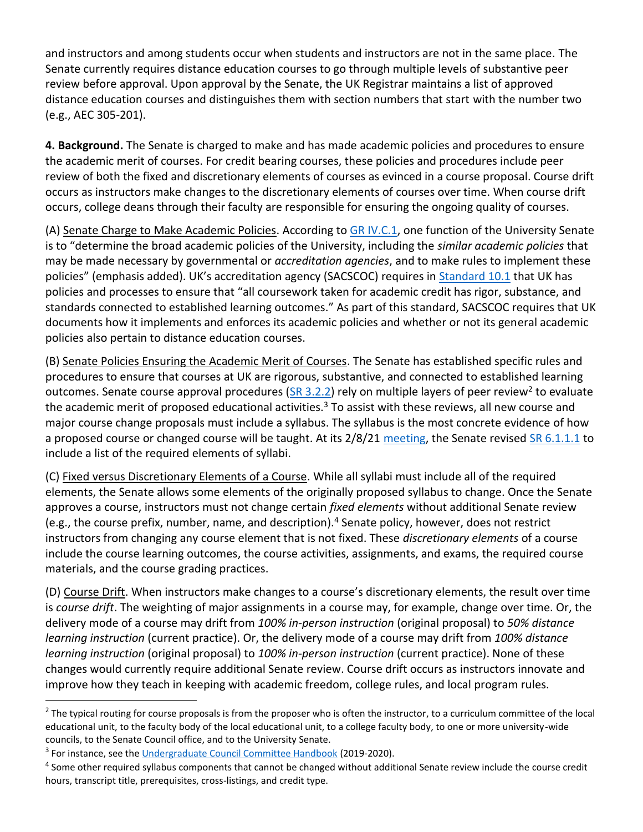and instructors and among students occur when students and instructors are not in the same place*.* The Senate currently requires distance education courses to go through multiple levels of substantive peer review before approval. Upon approval by the Senate, the UK Registrar maintains a list of approved distance education courses and distinguishes them with section numbers that start with the number two (e.g., AEC 305-201).

**4. Background.** The Senate is charged to make and has made academic policies and procedures to ensure the academic merit of courses. For credit bearing courses, these policies and procedures include peer review of both the fixed and discretionary elements of courses as evinced in a course proposal. Course drift occurs as instructors make changes to the discretionary elements of courses over time. When course drift occurs, college deans through their faculty are responsible for ensuring the ongoing quality of courses.

(A) Senate Charge to Make Academic Policies. According to [GR IV.C.1,](https://www.uky.edu/regs/sites/www.uky.edu.regs/files/files/gr/gr4.pdf) one function of the University Senate is to "determine the broad academic policies of the University, including the *similar academic policies* that may be made necessary by governmental or *accreditation agencies*, and to make rules to implement these policies" (emphasis added). UK's accreditation agency (SACSCOC) requires in [Standard 10.1](https://www.sc.edu/about/offices_and_divisions/institutional_research_assessment_and_analytics/documents/resource/10_1/10_1_guidelines.pdf) that UK has policies and processes to ensure that "all coursework taken for academic credit has rigor, substance, and standards connected to established learning outcomes." As part of this standard, SACSCOC requires that UK documents how it implements and enforces its academic policies and whether or not its general academic policies also pertain to distance education courses.

(B) Senate Policies Ensuring the Academic Merit of Courses. The Senate has established specific rules and procedures to ensure that courses at UK are rigorous, substantive, and connected to established learning outcomes. Senate course approval procedures [\(SR 3.2.2\)](https://www.uky.edu/universitysenate/sites/www.uky.edu.universitysenate/files/Rules/2020-21/MASTER%20RULES%20September%202020_clean.pdf) rely on multiple layers of peer review<sup>2</sup> to evaluate the academic merit of proposed educational activities.<sup>3</sup> To assist with these reviews, all new course and major course change proposals must include a syllabus. The syllabus is the most concrete evidence of how a proposed course or changed course will be taught. At its 2/8/21 [meeting,](https://www.uky.edu/universitysenate/senate/2021-02-08) the Senate revised [SR 6.1.1.1](https://www.uky.edu/universitysenate/sites/www.uky.edu.universitysenate/files/Rules/2020-21/MASTER%20RULES%20September%202020_clean.pdf) to include a list of the required elements of syllabi.

(C) Fixed versus Discretionary Elements of a Course. While all syllabi must include all of the required elements, the Senate allows some elements of the originally proposed syllabus to change. Once the Senate approves a course, instructors must not change certain *fixed elements* without additional Senate review (e.g., the course prefix, number, name, and description).<sup>4</sup> Senate policy, however, does not restrict instructors from changing any course element that is not fixed. These *discretionary elements* of a course include the course learning outcomes, the course activities, assignments, and exams, the required course materials, and the course grading practices.

(D) Course Drift. When instructors make changes to a course's discretionary elements, the result over time is *course drift*. The weighting of major assignments in a course may, for example, change over time. Or, the delivery mode of a course may drift from *100% in-person instruction* (original proposal) to *50% distance learning instruction* (current practice). Or, the delivery mode of a course may drift from *100% distance learning instruction* (original proposal) to *100% in-person instruction* (current practice). None of these changes would currently require additional Senate review. Course drift occurs as instructors innovate and improve how they teach in keeping with academic freedom, college rules, and local program rules.

l

 $^2$  The typical routing for course proposals is from the proposer who is often the instructor, to a curriculum committee of the local educational unit, to the faculty body of the local educational unit, to a college faculty body, to one or more university-wide councils, to the Senate Council office, and to the University Senate.

<sup>&</sup>lt;sup>3</sup> For instance, see the [Undergraduate Council Committee Handbook](https://www.uky.edu/universitysenate/sites/www.uky.edu.universitysenate/files/UGC%20Committee%20Handbook_2019-20.pdf) (2019-2020).

<sup>&</sup>lt;sup>4</sup> Some other required syllabus components that cannot be changed without additional Senate review include the course credit hours, transcript title, prerequisites, cross-listings, and credit type.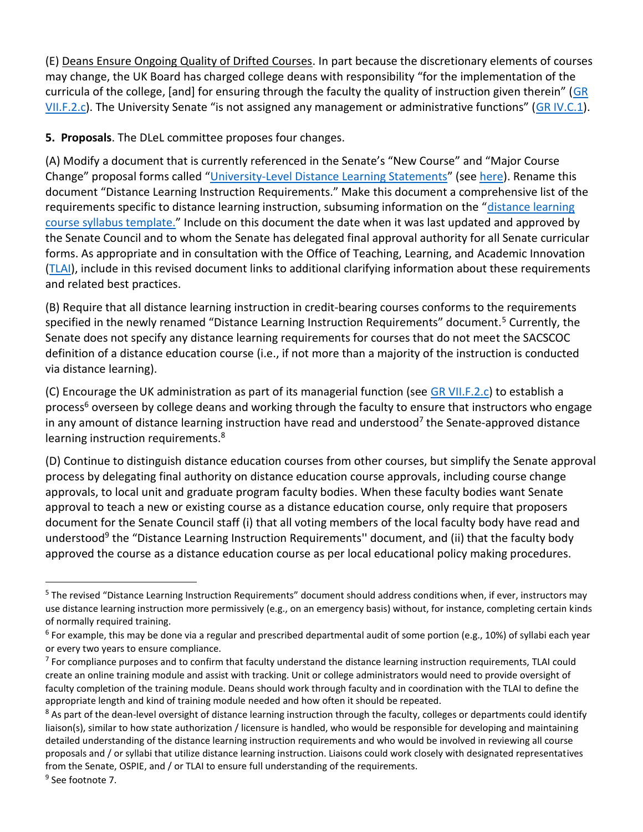(E) Deans Ensure Ongoing Quality of Drifted Courses. In part because the discretionary elements of courses may change, the UK Board has charged college deans with responsibility "for the implementation of the curricula of the college, [and] for ensuring through the faculty the quality of instruction given therein" (GR [VII.F.2.c](https://www.uky.edu/regs/sites/www.uky.edu.regs/files/files/gr/gr7.pdf)). The University Senate "is not assigned any management or administrative functions" ([GR IV.C.1\)](https://www.uky.edu/regs/sites/www.uky.edu.regs/files/files/gr/gr4.pdf).

**5. Proposals**. The DLeL committee proposes four changes.

(A) Modify a document that is currently referenced in the Senate's "New Course" and "Major Course Change" proposal forms called "[University-Level Distance Learning Statements](https://www.uky.edu/universitysenate/sites/www.uky.edu.universitysenate/files/Files/Forms/U-Level%20DL%20Statements.pdf)" (see [here\)](https://drive.google.com/file/d/1YdTtWPT5kc8rer2qPYQvzhgrc8Vc8RnM/view?usp=sharing). Rename this document "Distance Learning Instruction Requirements." Make this document a comprehensive list of the requirements specific to distance learning instruction, subsuming information on the "[distance learning](https://www.uky.edu/universitysenate/course-syllabi)  [course syllabus template.](https://www.uky.edu/universitysenate/course-syllabi)" Include on this document the date when it was last updated and approved by the Senate Council and to whom the Senate has delegated final approval authority for all Senate curricular forms. As appropriate and in consultation with the Office of Teaching, Learning, and Academic Innovation [\(TLAI\)](https://www.uky.edu/tlai/home), include in this revised document links to additional clarifying information about these requirements and related best practices.

(B) Require that all distance learning instruction in credit-bearing courses conforms to the requirements specified in the newly renamed "Distance Learning Instruction Requirements" document.<sup>5</sup> Currently, the Senate does not specify any distance learning requirements for courses that do not meet the SACSCOC definition of a distance education course (i.e., if not more than a majority of the instruction is conducted via distance learning).

(C) Encourage the UK administration as part of its managerial function (see [GR VII.F.2.c\)](https://www.uky.edu/regs/sites/www.uky.edu.regs/files/files/gr/gr7.pdf) to establish a process<sup>6</sup> overseen by college deans and working through the faculty to ensure that instructors who engage in any amount of distance learning instruction have read and understood<sup>7</sup> the Senate-approved distance learning instruction requirements.<sup>8</sup>

(D) Continue to distinguish distance education courses from other courses, but simplify the Senate approval process by delegating final authority on distance education course approvals, including course change approvals, to local unit and graduate program faculty bodies. When these faculty bodies want Senate approval to teach a new or existing course as a distance education course, only require that proposers document for the Senate Council staff (i) that all voting members of the local faculty body have read and understood<sup>9</sup> the "Distance Learning Instruction Requirements" document, and (ii) that the faculty body approved the course as a distance education course as per local educational policy making procedures.

 $\overline{\phantom{a}}$ 

<sup>&</sup>lt;sup>5</sup> The revised "Distance Learning Instruction Requirements" document should address conditions when, if ever, instructors may use distance learning instruction more permissively (e.g., on an emergency basis) without, for instance, completing certain kinds of normally required training.

<sup>&</sup>lt;sup>6</sup> For example, this may be done via a regular and prescribed departmental audit of some portion (e.g., 10%) of syllabi each year or every two years to ensure compliance.

 $^7$  For compliance purposes and to confirm that faculty understand the distance learning instruction requirements, TLAI could create an online training module and assist with tracking. Unit or college administrators would need to provide oversight of faculty completion of the training module. Deans should work through faculty and in coordination with the TLAI to define the appropriate length and kind of training module needed and how often it should be repeated.

<sup>&</sup>lt;sup>8</sup> As part of the dean-level oversight of distance learning instruction through the faculty, colleges or departments could identify liaison(s), similar to how state authorization / licensure is handled, who would be responsible for developing and maintaining detailed understanding of the distance learning instruction requirements and who would be involved in reviewing all course proposals and / or syllabi that utilize distance learning instruction. Liaisons could work closely with designated representatives from the Senate, OSPIE, and / or TLAI to ensure full understanding of the requirements.

<sup>&</sup>lt;sup>9</sup> See footnote 7.